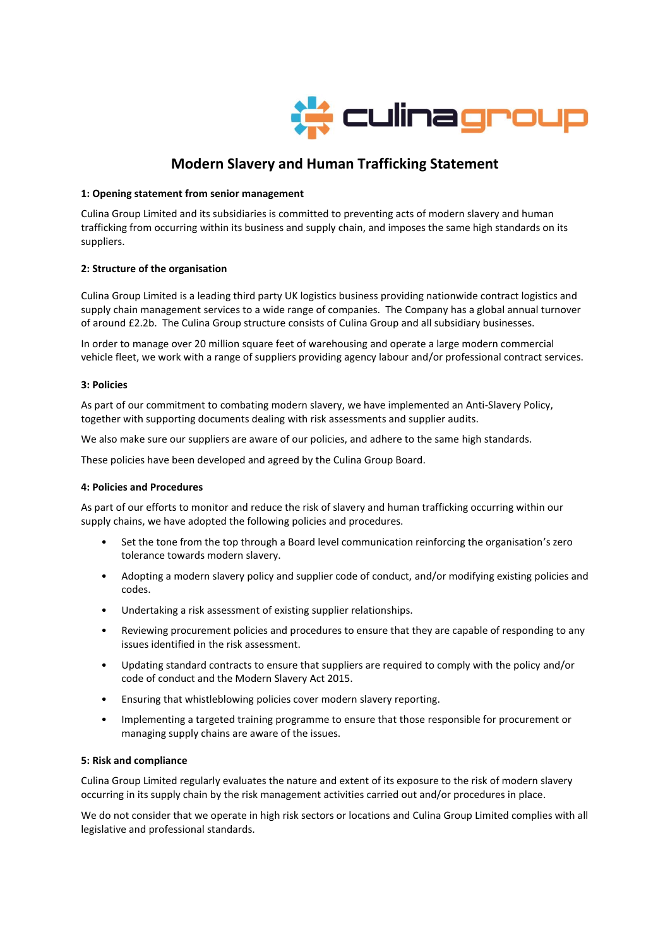

# **Modern Slavery and Human Trafficking Statement**

## **1: Opening statement from senior management**

Culina Group Limited and its subsidiaries is committed to preventing acts of modern slavery and human trafficking from occurring within its business and supply chain, and imposes the same high standards on its suppliers.

## **2: Structure of the organisation**

Culina Group Limited is a leading third party UK logistics business providing nationwide contract logistics and supply chain management services to a wide range of companies. The Company has a global annual turnover of around £2.2b. The Culina Group structure consists of Culina Group and all subsidiary businesses.

In order to manage over 20 million square feet of warehousing and operate a large modern commercial vehicle fleet, we work with a range of suppliers providing agency labour and/or professional contract services.

### **3: Policies**

As part of our commitment to combating modern slavery, we have implemented an Anti-Slavery Policy, together with supporting documents dealing with risk assessments and supplier audits.

We also make sure our suppliers are aware of our policies, and adhere to the same high standards.

These policies have been developed and agreed by the Culina Group Board.

#### **4: Policies and Procedures**

As part of our efforts to monitor and reduce the risk of slavery and human trafficking occurring within our supply chains, we have adopted the following policies and procedures.

- Set the tone from the top through a Board level communication reinforcing the organisation's zero tolerance towards modern slavery.
- Adopting a modern slavery policy and supplier code of conduct, and/or modifying existing policies and codes.
- Undertaking a risk assessment of existing supplier relationships.
- Reviewing procurement policies and procedures to ensure that they are capable of responding to any issues identified in the risk assessment.
- Updating standard contracts to ensure that suppliers are required to comply with the policy and/or code of conduct and the Modern Slavery Act 2015.
- Ensuring that whistleblowing policies cover modern slavery reporting.
- Implementing a targeted training programme to ensure that those responsible for procurement or managing supply chains are aware of the issues.

#### **5: Risk and compliance**

Culina Group Limited regularly evaluates the nature and extent of its exposure to the risk of modern slavery occurring in its supply chain by the risk management activities carried out and/or procedures in place.

We do not consider that we operate in high risk sectors or locations and Culina Group Limited complies with all legislative and professional standards.